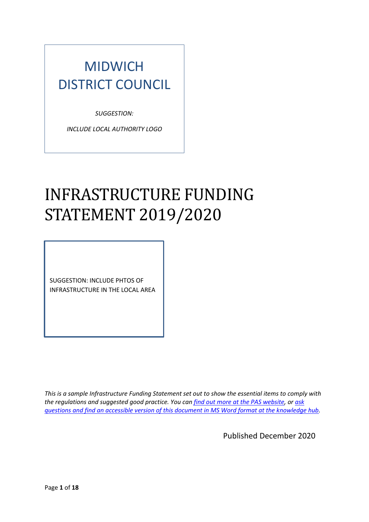## MIDWICH DISTRICT COUNCIL

*SUGGESTION:* 

*INCLUDE LOCAL AUTHORITY LOGO*

# INFRASTRUCTURE FUNDING STATEMENT 2019/2020

SUGGESTION: INCLUDE PHTOS OF INFRASTRUCTURE IN THE LOCAL AREA

*This is a sample Infrastructure Funding Statement set out to show the essential items to comply with the regulations and suggested good practice. You can [find out more at the PAS website,](https://local.gov.uk/pas/delivery/developer-contributions/infrastructure-funding-statements) or [ask](https://khub.net/web/planningadvisoryservicepas/forum/-/message_boards/category/6217928)  [questions and find an accessible version of this document in MS Word format at the knowledge hub.](https://khub.net/web/planningadvisoryservicepas/forum/-/message_boards/category/6217928)* 

Published December 2020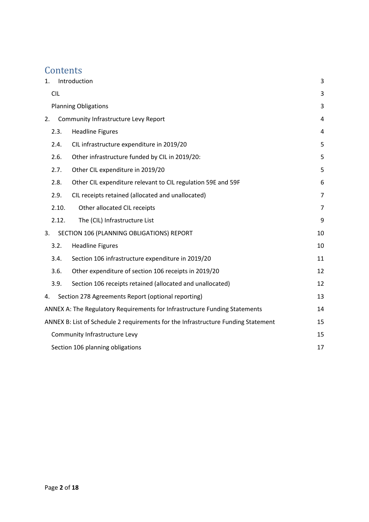## **Contents**

| 1. |            | Introduction                                                                      | 3              |
|----|------------|-----------------------------------------------------------------------------------|----------------|
|    | <b>CIL</b> |                                                                                   | 3              |
|    |            | <b>Planning Obligations</b>                                                       | 3              |
| 2. |            | Community Infrastructure Levy Report                                              | 4              |
|    | 2.3.       | <b>Headline Figures</b>                                                           | 4              |
|    | 2.4.       | CIL infrastructure expenditure in 2019/20                                         | 5              |
|    | 2.6.       | Other infrastructure funded by CIL in 2019/20:                                    | 5              |
|    | 2.7.       | Other CIL expenditure in 2019/20                                                  | 5              |
|    | 2.8.       | Other CIL expenditure relevant to CIL regulation 59E and 59F                      | 6              |
|    | 2.9.       | CIL receipts retained (allocated and unallocated)                                 | $\overline{7}$ |
|    | 2.10.      | Other allocated CIL receipts                                                      | $\overline{7}$ |
|    | 2.12.      | The (CIL) Infrastructure List                                                     | 9              |
| 3. |            | SECTION 106 (PLANNING OBLIGATIONS) REPORT                                         | 10             |
|    | 3.2.       | <b>Headline Figures</b>                                                           | 10             |
|    | 3.4.       | Section 106 infrastructure expenditure in 2019/20                                 | 11             |
|    | 3.6.       | Other expenditure of section 106 receipts in 2019/20                              | 12             |
|    | 3.9.       | Section 106 receipts retained (allocated and unallocated)                         | 12             |
| 4. |            | Section 278 Agreements Report (optional reporting)                                | 13             |
|    |            | ANNEX A: The Regulatory Requirements for Infrastructure Funding Statements        | 14             |
|    |            | ANNEX B: List of Schedule 2 requirements for the Infrastructure Funding Statement | 15             |
|    |            | Community Infrastructure Levy                                                     | 15             |
|    |            | Section 106 planning obligations                                                  | 17             |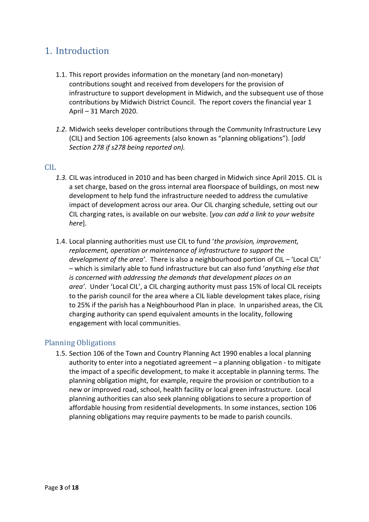### <span id="page-2-0"></span>1. Introduction

- 1.1. This report provides information on the monetary (and non-monetary) contributions sought and received from developers for the provision of infrastructure to support development in Midwich, and the subsequent use of those contributions by Midwich District Council. The report covers the financial year 1 April – 31 March 2020.
- *1.2.* Midwich seeks developer contributions through the Community Infrastructure Levy (CIL) and Section 106 agreements (also known as "planning obligations"). [*add Section 278 if s278 being reported on).*

#### <span id="page-2-1"></span> $CLL$

- *1.3.* CIL was introduced in 2010 and has been charged in Midwich since April 2015. CIL is a set charge, based on the gross internal area floorspace of buildings, on most new development to help fund the infrastructure needed to address the cumulative impact of development across our area. Our CIL charging schedule, setting out our CIL charging rates, is available on our website. [*you can add a link to your website here*].
- 1.4. Local planning authorities must use CIL to fund '*the provision, improvement, replacement, operation or maintenance of infrastructure to support the development of the area'*. There is also a neighbourhood portion of CIL – 'Local CIL' – which is similarly able to fund infrastructure but can also fund '*anything else that is concerned with addressing the demands that development places on an area'*. Under 'Local CIL', a CIL charging authority must pass 15% of local CIL receipts to the parish council for the area where a CIL liable development takes place, rising to 25% if the parish has a Neighbourhood Plan in place. In unparished areas, the CIL charging authority can spend equivalent amounts in the locality, following engagement with local communities.

#### <span id="page-2-2"></span>Planning Obligations

1.5. Section 106 of the Town and Country Planning Act 1990 enables a local planning authority to enter into a negotiated agreement – a planning obligation - to mitigate the impact of a specific development, to make it acceptable in planning terms. The planning obligation might, for example, require the provision or contribution to a new or improved road, school, health facility or local green infrastructure. Local planning authorities can also seek planning obligations to secure a proportion of affordable housing from residential developments. In some instances, section 106 planning obligations may require payments to be made to parish councils.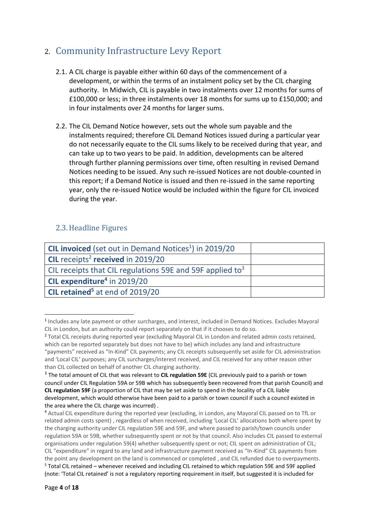## <span id="page-3-0"></span>2. Community Infrastructure Levy Report

- 2.1. A CIL charge is payable either within 60 days of the commencement of a development, or within the terms of an instalment policy set by the CIL charging authority. In Midwich, CIL is payable in two instalments over 12 months for sums of £100,000 or less; in three instalments over 18 months for sums up to £150,000; and in four instalments over 24 months for larger sums.
- 2.2. The CIL Demand Notice however, sets out the whole sum payable and the instalments required; therefore CIL Demand Notices issued during a particular year do not necessarily equate to the CIL sums likely to be received during that year, and can take up to two years to be paid. In addition, developments can be altered through further planning permissions over time, often resulting in revised Demand Notices needing to be issued. Any such re-issued Notices are not double-counted in this report; if a Demand Notice is issued and then re-issued in the same reporting year, only the re-issued Notice would be included within the figure for CIL invoiced during the year.

#### <span id="page-3-1"></span>2.3.Headline Figures

| <b>CIL invoiced</b> (set out in Demand Notices <sup>1</sup> ) in 2019/20 |  |
|--------------------------------------------------------------------------|--|
| CIL receipts <sup>2</sup> received in 2019/20                            |  |
| CIL receipts that CIL regulations 59E and 59F applied to <sup>3</sup>    |  |
| CIL expenditure <sup>4</sup> in 2019/20                                  |  |
| CIL retained <sup>5</sup> at end of 2019/20                              |  |

<sup>&</sup>lt;sup>1</sup> Includes any late payment or other surcharges, and interest, included in Demand Notices. Excludes Mayoral CIL in London, but an authority could report separately on that if it chooses to do so.

<sup>&</sup>lt;sup>2</sup> Total CIL receipts during reported year (excluding Mayoral CIL in London and related admin costs retained, which can be reported separately but does not have to be) which includes any land and infrastructure "payments" received as "In-Kind" CIL payments; any CIL receipts subsequently set aside for CIL administration and 'Local CIL' purposes; any CIL surcharges/interest received, and CIL received for any other reason other than CIL collected on behalf of another CIL charging authority.

<sup>3</sup> The total amount of CIL that was relevant to **CIL regulation 59E** (CIL previously paid to a parish or town council under CIL Regulation 59A or 59B which has subsequently been recovered from that parish Council) and **CIL regulation 59F** (a proportion of CIL that may be set aside to spend in the locality of a CIL liable development, which would otherwise have been paid to a parish or town council if such a council existed in the area where the CIL charge was incurred) .

<sup>4</sup> Actual CIL expenditure during the reported year (excluding, in London, any Mayoral CIL passed on to TfL or related admin costs spent) , regardless of when received, including 'Local CIL' allocations both where spent by the charging authority under CIL regulation 59E and 59F, and where passed to parish/town councils under regulation 59A or 59B, whether subsequently spent or not by that council. Also includes CIL passed to external organisations under regulation 59(4) whether subsequently spent or not; CIL spent on administration of CIL; CIL "expenditure" in regard to any land and infrastructure payment received as "In-Kind" CIL payments from the point any development on the land is commenced or completed , and CIL refunded due to overpayments. <sup>5</sup> Total CIL retained – whenever received and including CIL retained to which regulation 59E and 59F applied (note: 'Total CIL retained' is not a regulatory reporting requirement in itself, but suggested it is included for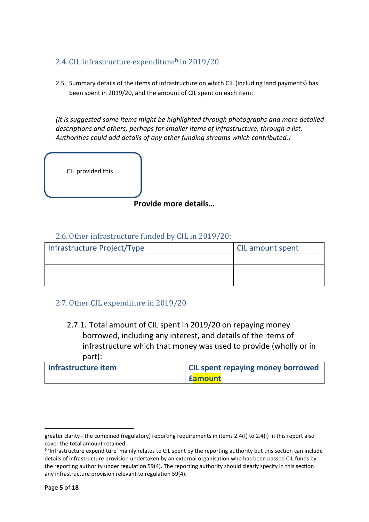#### <span id="page-4-0"></span>2.4. CIL infrastructure expenditure**6** in 2019/20

2.5. Summary details of the items of infrastructure on which CIL (including land payments) has been spent in 2019/20, and the amount of CIL spent on each item:

*(it is suggested some items might be highlighted through photographs and more detailed descriptions and others, perhaps for smaller items of infrastructure, through a list. Authorities could add details of any other funding streams which contributed.)*

CIL provided this …

**Provide more details…**

#### 2.6.Other infrastructure funded by CIL in 2019/20:

<span id="page-4-1"></span>

| Infrastructure Project/Type | <b>CIL amount spent</b> |
|-----------------------------|-------------------------|
|                             |                         |
|                             |                         |
|                             |                         |

#### <span id="page-4-2"></span>2.7.Other CIL expenditure in 2019/20

<span id="page-4-3"></span>2.7.1. Total amount of CIL spent in 2019/20 on repaying money borrowed, including any interest, and details of the items of infrastructure which that money was used to provide (wholly or in part):

| Infrastructure item | <b>CIL spent repaying money borrowed</b> |  |
|---------------------|------------------------------------------|--|
|                     | <b>Eamount</b>                           |  |

greater clarity - the combined (regulatory) reporting requirements in items 2.4(f) to 2.4(i) in this report also cover the total amount retained.

<sup>&</sup>lt;sup>6</sup> 'Infrastructure expenditure' mainly relates to CIL spent by the reporting authority but this section can include details of infrastructure provision undertaken by an external organisation who has been passed CIL funds by the reporting authority under regulation 59(4). The reporting authority should clearly specify in this section any infrastructure provision relevant to regulation 59(4).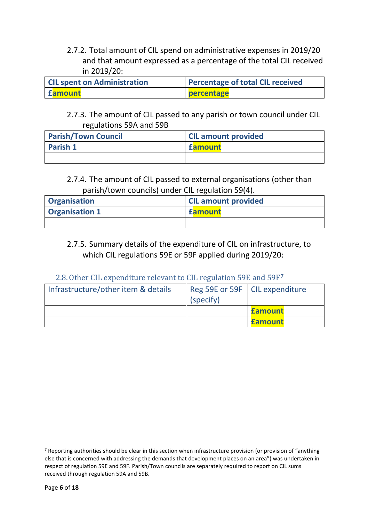2.7.2. Total amount of CIL spend on administrative expenses in 2019/20 and that amount expressed as a percentage of the total CIL received in 2019/20:

| <b>CIL spent on Administration</b> | <b>Percentage of total CIL received</b> |  |
|------------------------------------|-----------------------------------------|--|
| Eamount                            | percentage                              |  |

#### <span id="page-5-2"></span><span id="page-5-1"></span>2.7.3. The amount of CIL passed to any parish or town council under CIL regulations 59A and 59B

| <b>Parish/Town Council</b> | <b>CIL amount provided</b> |
|----------------------------|----------------------------|
| <b>Parish 1</b>            | <b>famount</b>             |
|                            |                            |

#### <span id="page-5-3"></span>2.7.4. The amount of CIL passed to external organisations (other than parish/town councils) under CIL regulation 59(4).

| <b>Organisation</b>   | <b>CIL amount provided</b> |  |
|-----------------------|----------------------------|--|
| <b>Organisation 1</b> | <b>famount</b>             |  |
|                       |                            |  |

#### 2.7.5. Summary details of the expenditure of CIL on infrastructure, to which CIL regulations 59E or 59F applied during 2019/20:

#### 2.8.Other CIL expenditure relevant to CIL regulation 59E and 59F**<sup>7</sup>**

<span id="page-5-4"></span><span id="page-5-0"></span>

| Infrastructure/other item & details | Reg 59E or 59F   CIL expenditure<br>(specify) |                |
|-------------------------------------|-----------------------------------------------|----------------|
|                                     |                                               | <b>famount</b> |
|                                     |                                               | <b>famount</b> |

 $7$  Reporting authorities should be clear in this section when infrastructure provision (or provision of "anything else that is concerned with addressing the demands that development places on an area") was undertaken in respect of regulation 59E and 59F. Parish/Town councils are separately required to report on CIL sums received through regulation 59A and 59B.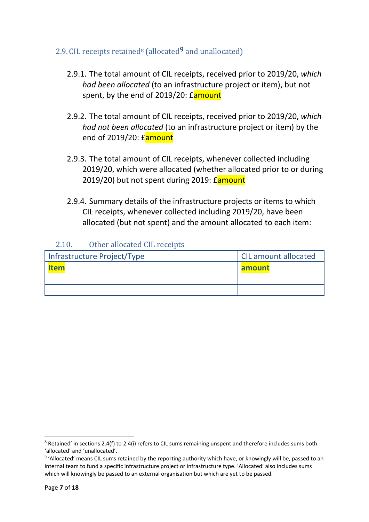#### <span id="page-6-0"></span>2.9. CIL receipts retained<sup>8</sup> (allocated**9** and unallocated)

- <span id="page-6-3"></span>2.9.1. The total amount of CIL receipts, received prior to 2019/20, *which had been allocated* (to an infrastructure project or item), but not spent, by the end of 2019/20: Eamount
- <span id="page-6-2"></span>2.9.2. The total amount of CIL receipts, received prior to 2019/20, *which had not been allocated* (to an infrastructure project or item) by the end of 2019/20: £amount
- <span id="page-6-4"></span>2.9.3. The total amount of CIL receipts, whenever collected including 2019/20, which were allocated (whether allocated prior to or during 2019/20) but not spent during 2019: *Eamount*
- 2.9.4. Summary details of the infrastructure projects or items to which CIL receipts, whenever collected including 2019/20, have been allocated (but not spent) and the amount allocated to each item:

#### 2.10. Other allocated CIL receipts

<span id="page-6-5"></span><span id="page-6-1"></span>

| Infrastructure Project/Type | <b>CIL amount allocated</b> |  |
|-----------------------------|-----------------------------|--|
| ltem                        | amount                      |  |
|                             |                             |  |
|                             |                             |  |

<sup>8</sup> Retained' in sections 2.4(f) to 2.4(i) refers to CIL sums remaining unspent and therefore includes sums both 'allocated' and 'unallocated'.

<sup>&</sup>lt;sup>9</sup> 'Allocated' means CIL sums retained by the reporting authority which have, or knowingly will be, passed to an internal team to fund a specific infrastructure project or infrastructure type. 'Allocated' also includes sums which will knowingly be passed to an external organisation but which are yet to be passed.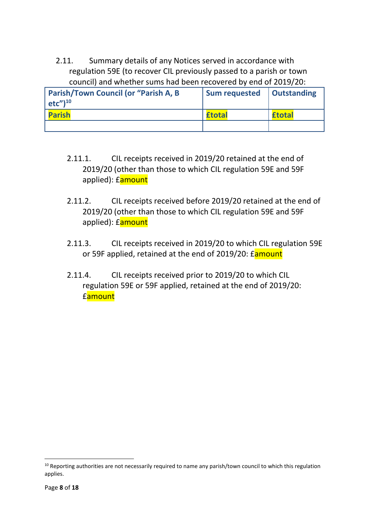2.11. Summary details of any Notices served in accordance with regulation 59E (to recover CIL previously passed to a parish or town council) and whether sums had been recovered by end of 2019/20:

| Parish/Town Council (or "Parish A, B<br>$etc''$ <sup>10</sup> | <b>Sum requested</b> | <b>Outstanding</b> |
|---------------------------------------------------------------|----------------------|--------------------|
| <b>Parish</b>                                                 | <b>£total</b>        | <b>£total</b>      |
|                                                               |                      |                    |

- <span id="page-7-1"></span><span id="page-7-0"></span>2.11.1. CIL receipts received in 2019/20 retained at the end of 2019/20 (other than those to which CIL regulation 59E and 59F applied): **£amount**
- <span id="page-7-3"></span>2.11.2. CIL receipts received before 2019/20 retained at the end of 2019/20 (other than those to which CIL regulation 59E and 59F applied): **£amount**
- <span id="page-7-2"></span>2.11.3. CIL receipts received in 2019/20 to which CIL regulation 59E or 59F applied, retained at the end of 2019/20: Eamount
- <span id="page-7-4"></span>2.11.4. CIL receipts received prior to 2019/20 to which CIL regulation 59E or 59F applied, retained at the end of 2019/20: £amount

<sup>&</sup>lt;sup>10</sup> Reporting authorities are not necessarily required to name any parish/town council to which this regulation applies.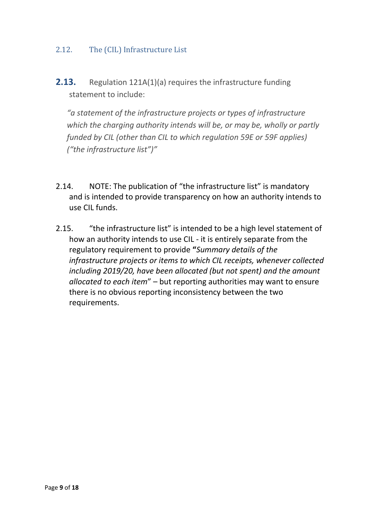#### <span id="page-8-0"></span>2.12. The (CIL) Infrastructure List

**2.13.** Regulation 121A(1)(a) requires the infrastructure funding statement to include:

*"a statement of the infrastructure projects or types of infrastructure which the charging authority intends will be, or may be, wholly or partly funded by CIL (other than CIL to which regulation 59E or 59F applies) ("the infrastructure list")"*

- 2.14. NOTE: The publication of "the infrastructure list" is mandatory and is intended to provide transparency on how an authority intends to use CIL funds.
- 2.15. "the infrastructure list" is intended to be a high level statement of how an authority intends to use CIL - it is entirely separate from the regulatory requirement to provide **"***Summary details of the infrastructure projects or items to which CIL receipts, whenever collected including 2019/20, have been allocated (but not spent) and the amount allocated to each item*" – but reporting authorities may want to ensure there is no obvious reporting inconsistency between the two requirements.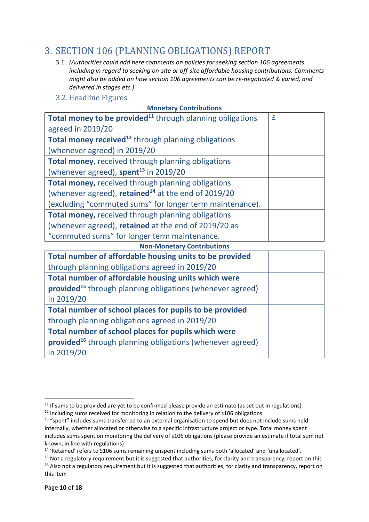## <span id="page-9-0"></span>3. SECTION 106 (PLANNING OBLIGATIONS) REPORT

- 3.1. *(Authorities could add here comments on policies for seeking section 106 agreements including in regard to seeking on-site or off-site affordable housing contributions. Comments might also be added on how section 106 agreements can be re-negotiated & varied, and delivered in stages etc.)*
- <span id="page-9-1"></span>3.2.Headline Figures

| Total money to be provided <sup>11</sup> through planning obligations | £ |  |  |
|-----------------------------------------------------------------------|---|--|--|
| agreed in 2019/20                                                     |   |  |  |
| Total money received <sup>12</sup> through planning obligations       |   |  |  |
| (whenever agreed) in 2019/20                                          |   |  |  |
| Total money, received through planning obligations                    |   |  |  |
| (whenever agreed), spent $^{13}$ in 2019/20                           |   |  |  |
| Total money, received through planning obligations                    |   |  |  |
| (whenever agreed), retained <sup>14</sup> at the end of $2019/20$     |   |  |  |
| (excluding "commuted sums" for longer term maintenance).              |   |  |  |
| Total money, received through planning obligations                    |   |  |  |
| (whenever agreed), retained at the end of 2019/20 as                  |   |  |  |
| "commuted sums" for longer term maintenance.                          |   |  |  |
| <b>Non-Monetary Contributions</b>                                     |   |  |  |
| Total number of affordable housing units to be provided               |   |  |  |
| through planning obligations agreed in 2019/20                        |   |  |  |
| Total number of affordable housing units which were                   |   |  |  |
| provided <sup>15</sup> through planning obligations (whenever agreed) |   |  |  |
| in 2019/20                                                            |   |  |  |
| Total number of school places for pupils to be provided               |   |  |  |

through planning obligations agreed in 2019/20

**Total number of school places for pupils which were** 

**provided**<sup>16</sup> through planning obligations (whenever agreed)

in 2019/20

 $11$  If sums to be provided are yet to be confirmed please provide an estimate (as set out in regulations)

 $12$  Including sums received for monitoring in relation to the delivery of s106 obligations

<sup>&</sup>lt;sup>13</sup> "spent" includes sums transferred to an external organisation to spend but does not include sums held internally, whether allocated or otherwise to a specific infrastructure project or type. Total money spent includes sums spent on monitoring the delivery of s106 obligations (please provide an estimate if total sum not known, in line with regulations)

<sup>14</sup> 'Retained' refers to S106 sums remaining unspent including sums both 'allocated' and 'unallocated'.

 $15$  Not a regulatory requirement but it is suggested that authorities, for clarity and transparency, report on this  $16$  Also not a regulatory requirement but it is suggested that authorities, for clarity and transparency, report on this item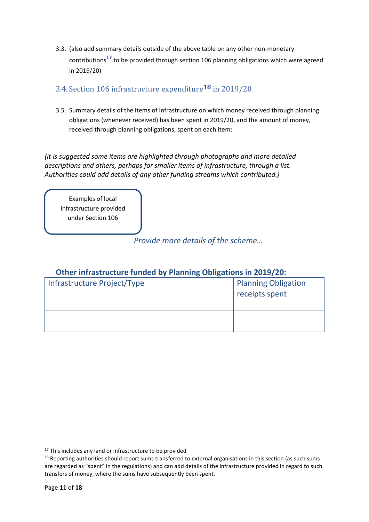3.3. (also add summary details outside of the above table on any other non-monetary contributions**<sup>17</sup>** to be provided through section 106 planning obligations which were agreed in 2019/20)

#### <span id="page-10-0"></span>3.4. Section 106 infrastructure expenditure**18** in 2019/20

3.5. Summary details of the items of infrastructure on which money received through planning obligations (whenever received) has been spent in 2019/20, and the amount of money, received through planning obligations, spent on each item:

*(it is suggested some items are highlighted through photographs and more detailed descriptions and others, perhaps for smaller items of infrastructure, through a list. Authorities could add details of any other funding streams which contributed.)*

Examples of local infrastructure provided under Section 106

*Provide more details of the scheme…*

#### **Other infrastructure funded by Planning Obligations in 2019/20:**

| Infrastructure Project/Type | Planning Obligation |  |
|-----------------------------|---------------------|--|
|                             | receipts spent      |  |
|                             |                     |  |
|                             |                     |  |
|                             |                     |  |

<sup>&</sup>lt;sup>17</sup> This includes any land or infrastructure to be provided

<sup>&</sup>lt;sup>18</sup> Reporting authorities should report sums transferred to external organisations in this section (as such sums are regarded as "spent" in the regulations) and can add details of the infrastructure provided in regard to such transfers of money, where the sums have subsequently been spent.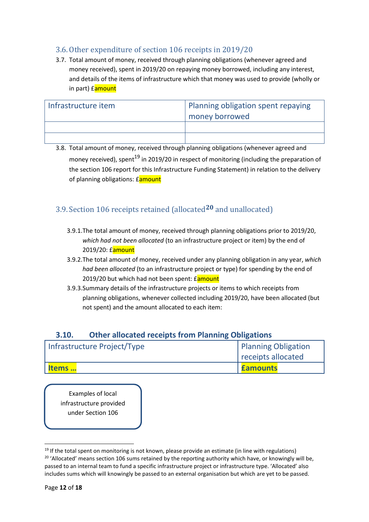#### <span id="page-11-0"></span>3.6.Other expenditure of section 106 receipts in 2019/20

3.7. Total amount of money, received through planning obligations (whenever agreed and money received), spent in 2019/20 on repaying money borrowed, including any interest, and details of the items of infrastructure which that money was used to provide (wholly or in part) famount

| Infrastructure item | Planning obligation spent repaying<br>I money borrowed |
|---------------------|--------------------------------------------------------|
|                     |                                                        |
|                     |                                                        |

3.8. Total amount of money, received through planning obligations (whenever agreed and money received), spent<sup>19</sup> in 2019/20 in respect of monitoring (including the preparation of the section 106 report for this Infrastructure Funding Statement) in relation to the delivery of planning obligations: **£**amount

#### <span id="page-11-5"></span><span id="page-11-1"></span>3.9. Section 106 receipts retained (allocated**20** and unallocated)

- 3.9.1.The total amount of money, received through planning obligations prior to 2019/20, *which had not been allocated* (to an infrastructure project or item) by the end of 2019/20: £amount
- <span id="page-11-2"></span>3.9.2.The total amount of money, received under any planning obligation in any year, *which had been allocated* (to an infrastructure project or type) for spending by the end of 2019/20 but which had not been spent: £amount
- <span id="page-11-3"></span>3.9.3.Summary details of the infrastructure projects or items to which receipts from planning obligations, whenever collected including 2019/20, have been allocated (but not spent) and the amount allocated to each item:

#### **3.10. Other allocated receipts from Planning Obligations**

<span id="page-11-4"></span>

| Infrastructure Project/Type | Planning Obligation |  |
|-----------------------------|---------------------|--|
|                             | receipts allocated  |  |
| ltems                       | <b>Eamounts</b>     |  |

Examples of local infrastructure provided under Section 106

 $19$  If the total spent on monitoring is not known, please provide an estimate (in line with regulations) <sup>20</sup> 'Allocated' means section 106 sums retained by the reporting authority which have, or knowingly will be, passed to an internal team to fund a specific infrastructure project or infrastructure type. 'Allocated' also includes sums which will knowingly be passed to an external organisation but which are yet to be passed.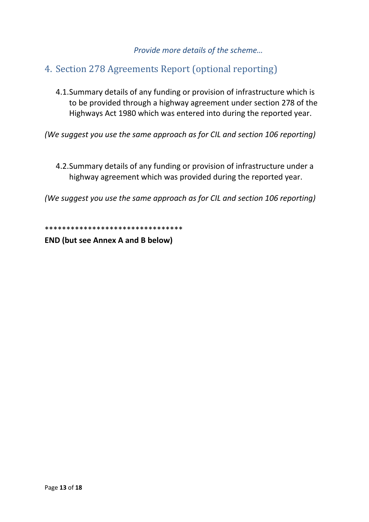#### *Provide more details of the scheme…*

## <span id="page-12-0"></span>4. Section 278 Agreements Report (optional reporting)

<span id="page-12-1"></span>4.1.Summary details of any funding or provision of infrastructure which is to be provided through a highway agreement under section 278 of the Highways Act 1980 which was entered into during the reported year.

*(We suggest you use the same approach as for CIL and section 106 reporting)*

<span id="page-12-2"></span>4.2.Summary details of any funding or provision of infrastructure under a highway agreement which was provided during the reported year.

*(We suggest you use the same approach as for CIL and section 106 reporting)*

\*\*\*\*\*\*\*\*\*\*\*\*\*\*\*\*\*\*\*\*\*\*\*\*\*\*\*\*\*\*\*\*

**END (but see Annex A and B below)**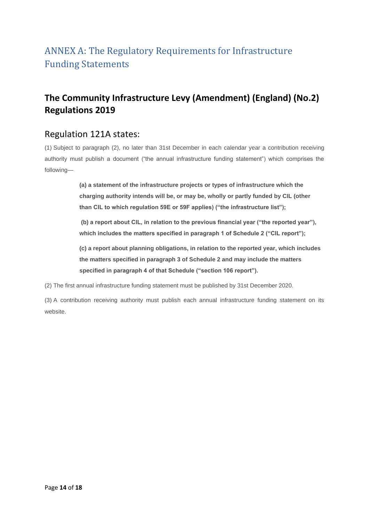## <span id="page-13-0"></span>ANNEX A: The Regulatory Requirements for Infrastructure Funding Statements

## **The Community Infrastructure Levy (Amendment) (England) (No.2) Regulations 2019**

#### Regulation 121A states:

(1) Subject to paragraph (2), no later than 31st December in each calendar year a contribution receiving authority must publish a document ("the annual infrastructure funding statement") which comprises the following—

> **(a) a statement of the infrastructure projects or types of infrastructure which the charging authority intends will be, or may be, wholly or partly funded by CIL (other than CIL to which regulation 59E or 59F applies) ("the infrastructure list");**

**(b) a report about CIL, in relation to the previous financial year ("the reported year"),**  which includes the matters specified in paragraph 1 of Schedule 2 ("CIL report");

**(c) a report about planning obligations, in relation to the reported year, which includes the matters specified in paragraph 3 of Schedule 2 and may include the matters specified in paragraph 4 of that Schedule ("section 106 report").**

(2) The first annual infrastructure funding statement must be published by 31st December 2020.

(3) A contribution receiving authority must publish each annual infrastructure funding statement on its website.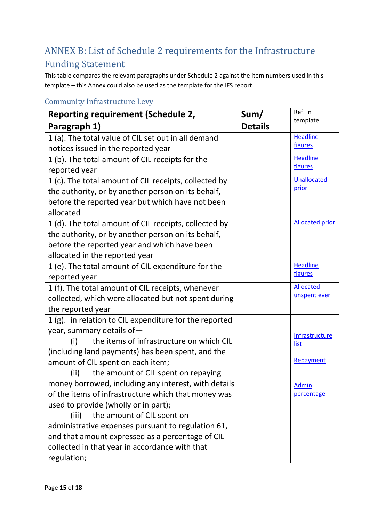## <span id="page-14-0"></span>ANNEX B: List of Schedule 2 requirements for the Infrastructure Funding Statement

This table compares the relevant paragraphs under Schedule 2 against the item numbers used in this template – this Annex could also be used as the template for the IFS report.

| <b>Reporting requirement (Schedule 2,</b>              | Sum/           | Ref. in                |
|--------------------------------------------------------|----------------|------------------------|
| Paragraph 1)                                           | <b>Details</b> | template               |
| 1 (a). The total value of CIL set out in all demand    |                | <b>Headline</b>        |
| notices issued in the reported year                    |                | figures                |
| 1 (b). The total amount of CIL receipts for the        |                | <b>Headline</b>        |
| reported year                                          |                | figures                |
| 1 (c). The total amount of CIL receipts, collected by  |                | <b>Unallocated</b>     |
| the authority, or by another person on its behalf,     |                | prior                  |
| before the reported year but which have not been       |                |                        |
| allocated                                              |                |                        |
| 1 (d). The total amount of CIL receipts, collected by  |                | <b>Allocated prior</b> |
| the authority, or by another person on its behalf,     |                |                        |
| before the reported year and which have been           |                |                        |
| allocated in the reported year                         |                |                        |
| 1 (e). The total amount of CIL expenditure for the     |                | <b>Headline</b>        |
| reported year                                          |                | figures                |
| 1 (f). The total amount of CIL receipts, whenever      |                | <b>Allocated</b>       |
| collected, which were allocated but not spent during   |                | unspent ever           |
| the reported year                                      |                |                        |
| 1 (g). in relation to CIL expenditure for the reported |                |                        |
| year, summary details of-                              |                | Infrastructure         |
| the items of infrastructure on which CIL<br>(i)        |                | list                   |
| (including land payments) has been spent, and the      |                |                        |
| amount of CIL spent on each item;                      |                | Repayment              |
| the amount of CIL spent on repaying<br>(ii)            |                |                        |
| money borrowed, including any interest, with details   |                | <b>Admin</b>           |
| of the items of infrastructure which that money was    |                | percentage             |
| used to provide (wholly or in part);                   |                |                        |
| the amount of CIL spent on<br>(iii)                    |                |                        |
| administrative expenses pursuant to regulation 61,     |                |                        |
| and that amount expressed as a percentage of CIL       |                |                        |
| collected in that year in accordance with that         |                |                        |
| regulation;                                            |                |                        |

#### <span id="page-14-1"></span>Community Infrastructure Levy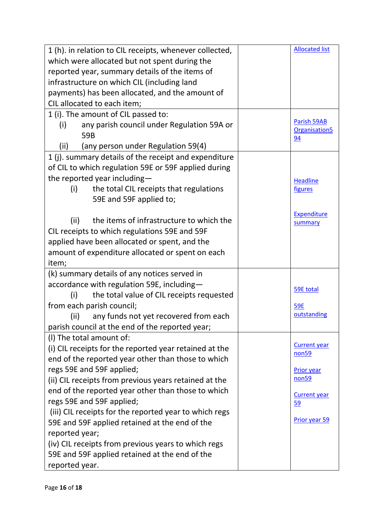| 1 (h). in relation to CIL receipts, whenever collected, | <b>Allocated list</b>                    |
|---------------------------------------------------------|------------------------------------------|
| which were allocated but not spent during the           |                                          |
| reported year, summary details of the items of          |                                          |
| infrastructure on which CIL (including land             |                                          |
| payments) has been allocated, and the amount of         |                                          |
| CIL allocated to each item;                             |                                          |
| 1 (i). The amount of CIL passed to:                     |                                          |
| any parish council under Regulation 59A or<br>(i)       | Parish 59AB<br>Organisation <sub>5</sub> |
| 59B                                                     | 94                                       |
| (any person under Regulation 59(4)<br>(ii)              |                                          |
| 1 (j). summary details of the receipt and expenditure   |                                          |
| of CIL to which regulation 59E or 59F applied during    |                                          |
| the reported year including-                            | <b>Headline</b>                          |
| the total CIL receipts that regulations<br>(i)          | figures                                  |
| 59E and 59F applied to;                                 |                                          |
|                                                         | Expenditure                              |
| the items of infrastructure to which the<br>(ii)        | summary                                  |
| CIL receipts to which regulations 59E and 59F           |                                          |
| applied have been allocated or spent, and the           |                                          |
| amount of expenditure allocated or spent on each        |                                          |
| item;                                                   |                                          |
| (k) summary details of any notices served in            |                                          |
| accordance with regulation 59E, including-              | 59E total                                |
| the total value of CIL receipts requested<br>(i)        |                                          |
| from each parish council;                               | <b>59E</b>                               |
| (ii)<br>any funds not yet recovered from each           | outstanding                              |
| parish council at the end of the reported year;         |                                          |
| (I) The total amount of:                                |                                          |
| (i) CIL receipts for the reported year retained at the  | <b>Current year</b><br>non <sub>59</sub> |
| end of the reported year other than those to which      |                                          |
| regs 59E and 59F applied;                               | <b>Prior year</b>                        |
| (ii) CIL receipts from previous years retained at the   | non <sub>59</sub>                        |
| end of the reported year other than those to which      | <b>Current year</b>                      |
| regs 59E and 59F applied;                               | 59                                       |
| (iii) CIL receipts for the reported year to which regs  |                                          |
| 59E and 59F applied retained at the end of the          | Prior year 59                            |
| reported year;                                          |                                          |
| (iv) CIL receipts from previous years to which regs     |                                          |
| 59E and 59F applied retained at the end of the          |                                          |
| reported year.                                          |                                          |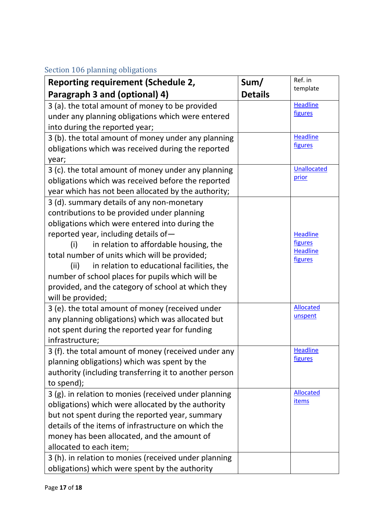#### <span id="page-16-0"></span>Section 106 planning obligations

| Reporting requirement (Schedule 2,                     | Sum/           | Ref. in                    |
|--------------------------------------------------------|----------------|----------------------------|
| Paragraph 3 and (optional) 4)                          | <b>Details</b> | template                   |
| 3 (a). the total amount of money to be provided        |                | <b>Headline</b>            |
| under any planning obligations which were entered      |                | figures                    |
| into during the reported year;                         |                |                            |
| 3 (b). the total amount of money under any planning    |                | <b>Headline</b>            |
| obligations which was received during the reported     |                | figures                    |
| year;                                                  |                |                            |
| 3 (c). the total amount of money under any planning    |                | <b>Unallocated</b>         |
| obligations which was received before the reported     |                | prior                      |
| year which has not been allocated by the authority;    |                |                            |
| 3 (d). summary details of any non-monetary             |                |                            |
| contributions to be provided under planning            |                |                            |
| obligations which were entered into during the         |                |                            |
| reported year, including details of-                   |                | <b>Headline</b>            |
| in relation to affordable housing, the<br>(i)          |                | figures<br><b>Headline</b> |
| total number of units which will be provided;          |                | figures                    |
| in relation to educational facilities, the<br>(ii)     |                |                            |
| number of school places for pupils which will be       |                |                            |
| provided, and the category of school at which they     |                |                            |
| will be provided;                                      |                |                            |
| 3 (e). the total amount of money (received under       |                | <b>Allocated</b>           |
| any planning obligations) which was allocated but      |                | unspent                    |
| not spent during the reported year for funding         |                |                            |
| infrastructure;                                        |                |                            |
| 3 (f). the total amount of money (received under any   |                | <b>Headline</b><br>figures |
| planning obligations) which was spent by the           |                |                            |
| authority (including transferring it to another person |                |                            |
| to spend);                                             |                |                            |
| 3 (g). in relation to monies (received under planning  |                | <b>Allocated</b><br>items  |
| obligations) which were allocated by the authority     |                |                            |
| but not spent during the reported year, summary        |                |                            |
| details of the items of infrastructure on which the    |                |                            |
| money has been allocated, and the amount of            |                |                            |
| allocated to each item;                                |                |                            |
| 3 (h). in relation to monies (received under planning  |                |                            |
| obligations) which were spent by the authority         |                |                            |